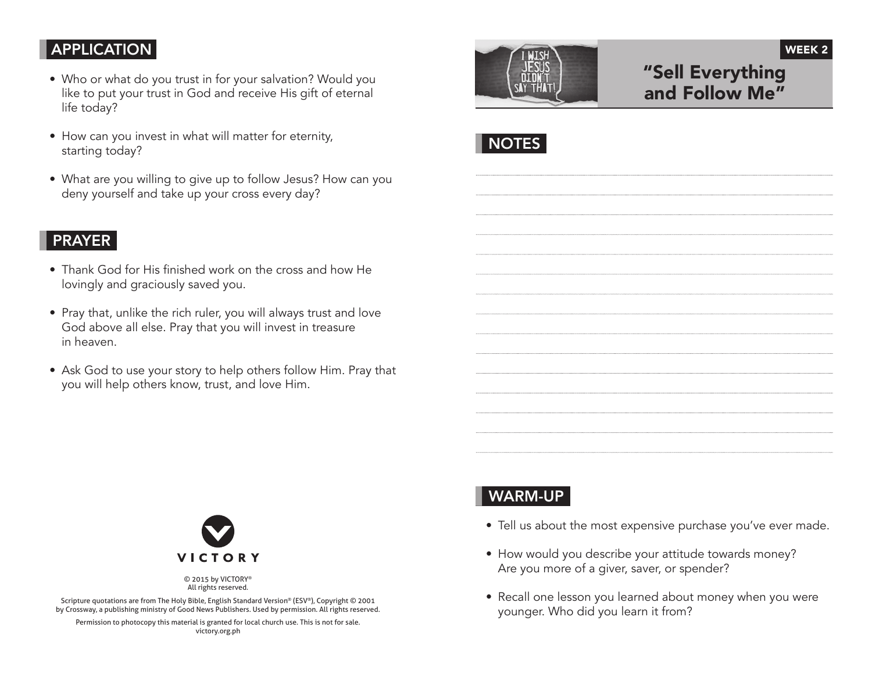### **APPLICATION**

- Who or what do you trust in for your salvation? Would you like to put your trust in God and receive His gift of eternal life today?
- How can you invest in what will matter for eternity, starting today?
- What are you willing to give up to follow Jesus? How can you deny yourself and take up your cross every day?

### PRAYER

- Thank God for His finished work on the cross and how He lovingly and graciously saved you.
- Pray that, unlike the rich ruler, you will always trust and love God above all else. Pray that you will invest in treasure in heaven.
- Ask God to use your story to help others follow Him. Pray that you will help others know, trust, and love Him.



© 2015 by VICTORY® All rights reserved.

Scripture quotations are from The Holy Bible, English Standard Version® (ESV®), Copyright © 2001 by Crossway, a publishing ministry of Good News Publishers. Used by permission. All rights reserved.

Permission to photocopy this material is granted for local church use. This is not for sale. victory.org.ph



# "Sell Everything and Follow Me"

WEEK 2



# WARM-UP

- Tell us about the most expensive purchase you've ever made.
- How would you describe your attitude towards money? Are you more of a giver, saver, or spender?
- Recall one lesson you learned about money when you were younger. Who did you learn it from?